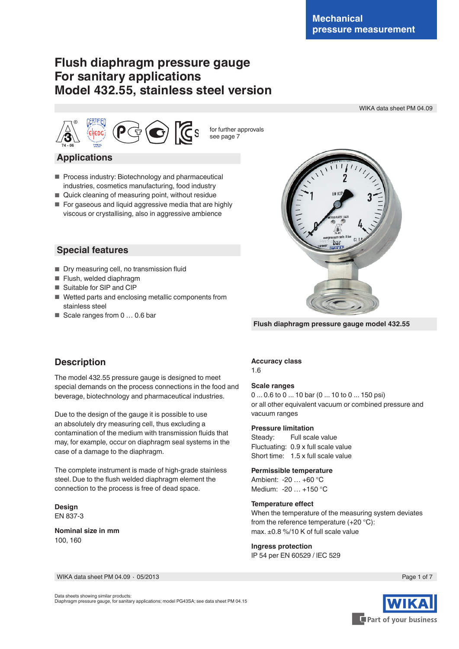WIKA data sheet PM 04.09

# **Flush diaphragm pressure gauge For sanitary applications Model 432.55, stainless steel version**



**Applications**

- Process industry: Biotechnology and pharmaceutical industries, cosmetics manufacturing, food industry
- Quick cleaning of measuring point, without residue
- For gaseous and liquid aggressive media that are highly viscous or crystallising, also in aggressive ambience

## **Special features**

- Dry measuring cell, no transmission fluid
- Flush, welded diaphragm
- Suitable for SIP and CIP
- Wetted parts and enclosing metallic components from stainless steel
- Scale ranges from 0 ... 0.6 bar



**Flush diaphragm pressure gauge model 432.55**

## **Description**

The model 432.55 pressure gauge is designed to meet special demands on the process connections in the food and beverage, biotechnology and pharmaceutical industries.

Due to the design of the gauge it is possible to use an absolutely dry measuring cell, thus excluding a contamination of the medium with transmission fluids that may, for example, occur on diaphragm seal systems in the case of a damage to the diaphragm.

The complete instrument is made of high-grade stainless steel. Due to the flush welded diaphragm element the connection to the process is free of dead space.

**Design** EN 837-3

**Nominal size in mm** 100, 160

#### **Accuracy class**

1.6

#### **Scale ranges**

0 ... 0.6 to 0 ... 10 bar (0 ... 10 to 0 ... 150 psi) or all other equivalent vacuum or combined pressure and vacuum ranges

#### **Pressure limitation**

Steady: Full scale value Fluctuating: 0.9 x full scale value Short time: 1.5 x full scale value

#### **Permissible temperature**

Ambient: -20 … +60 °C Medium: -20 … +150 °C

#### **Temperature effect**

When the temperature of the measuring system deviates from the reference temperature (+20 °C): max. ±0.8 %/10 K of full scale value

#### **Ingress protection**

IP 54 per EN 60529 / lEC 529

WIKA data sheet PM 04.09 ∙ 05/2013 Page 1 of 7



Part of your business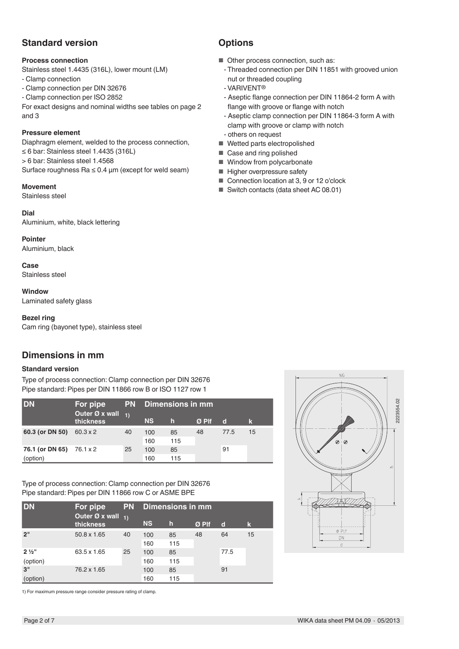## **Standard version**

## **Process connection**

Stainless steel 1.4435 (316L), lower mount (LM)

- Clamp connection

- Clamp connection per DIN 32676

- Clamp connection per ISO 2852

For exact designs and nominal widths see tables on page 2 and 3

## **Pressure element**

Diaphragm element, welded to the process connection, ≤ 6 bar: Stainless steel 1.4435 (316L) > 6 bar: Stainless steel 1.4568 Surface roughness  $Ra \leq 0.4 \mu m$  (except for weld seam)

## **Movement**

Stainless steel

### **Dial**

Aluminium, white, black lettering

### **Pointer**

Aluminium, black

### **Case**

Stainless steel

#### **Window**

Laminated safety glass

## **Bezel ring**

Cam ring (bayonet type), stainless steel

## **Dimensions in mm**

## **Standard version**

Type of process connection: Clamp connection per DIN 32676 Pipe standard: Pipes per DIN 11866 row B or ISO 1127 row 1

| IDN             | For pipe                    |    | <b>PN</b> Dimensions in mm |     |       |      |    |  |  |  |  |
|-----------------|-----------------------------|----|----------------------------|-----|-------|------|----|--|--|--|--|
|                 | Outer Ø x wall<br>thickness |    | <b>NS</b>                  | h   | Ø Plf | d    | k  |  |  |  |  |
| 60.3 (or DN 50) | $60.3 \times 2$             | 40 | 100                        | 85  | 48    | 77.5 | 15 |  |  |  |  |
|                 |                             |    | 160                        | 115 |       |      |    |  |  |  |  |
| 76.1 (or DN 65) | 76.1 x 2                    | 25 | 100                        | 85  |       | 91   |    |  |  |  |  |
| (option)        |                             |    | 160                        | 115 |       |      |    |  |  |  |  |

Type of process connection: Clamp connection per DIN 32676 Pipe standard: Pipes per DIN 11866 row C or ASME BPE

| <b>DN</b>                    | For pipe                           | <b>PN</b> | <b>Dimensions in mm</b> |             |       |             |    |  |  |  |  |
|------------------------------|------------------------------------|-----------|-------------------------|-------------|-------|-------------|----|--|--|--|--|
|                              | Outer Ø x wall $_{1}$<br>thickness |           | <b>NS</b>               | $\mathbf h$ | Ø Plf | $\mathbf d$ | k  |  |  |  |  |
| 2"                           | 50.8 x 1.65                        | 40        | 100<br>160              | 85<br>115   | 48    | 64          | 15 |  |  |  |  |
| $2\frac{1}{2}$ "<br>(option) | 63.5 x 1.65                        | 25        | 100<br>160              | 85<br>115   |       | 77.5        |    |  |  |  |  |
| 3"<br>(option)               | 76.2 x 1.65                        |           | 100<br>160              | 85<br>115   |       | 91          |    |  |  |  |  |

1) For maximum pressure range consider pressure rating of clamp.

# **Options**

- Other process connection, such as:
- Threaded connection per DIN 11851 with grooved union nut or threaded coupling
- VARIVENT®
- Aseptic flange connection per DIN 11864-2 form A with flange with groove or flange with notch
- Aseptic clamp connection per DIN 11864-3 form A with clamp with groove or clamp with notch
- others on request
- Wetted parts electropolished
- Case and ring polished
- Window from polycarbonate
- Higher overpressure safety
- Connection location at 3, 9 or 12 o'clock
- Switch contacts (data sheet AC 08.01)

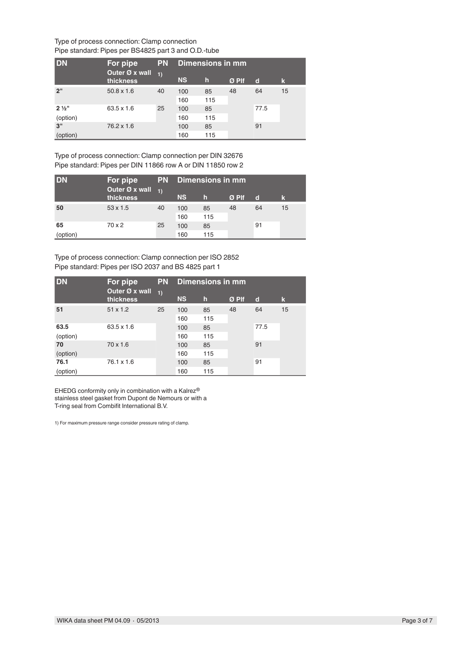#### Type of process connection: Clamp connection Pipe standard: Pipes per BS4825 part 3 and O.D.-tube

| <b>DN</b>                    | For pipe                    | <b>PN</b>  | Dimensions in mm |              |       |              |    |  |  |  |  |
|------------------------------|-----------------------------|------------|------------------|--------------|-------|--------------|----|--|--|--|--|
|                              | Outer Ø x wall<br>thickness | $\vert$ 1) | <b>NS</b>        | $\mathsf{h}$ | Ø Plf | $\mathbf{d}$ | k. |  |  |  |  |
| 2"                           | $50.8 \times 1.6$           | 40         | 100<br>160       | 85<br>115    | 48    | 64           | 15 |  |  |  |  |
| $2\frac{1}{2}$ "<br>(option) | $63.5 \times 1.6$           | 25         | 100<br>160       | 85<br>115    |       | 77.5         |    |  |  |  |  |
| 3"<br>(option)               | $76.2 \times 1.6$           |            | 100<br>160       | 85<br>115    |       | 91           |    |  |  |  |  |

Type of process connection: Clamp connection per DIN 32676 Pipe standard: Pipes per DIN 11866 row A or DIN 11850 row 2

| <b>IDN</b> | For pipe                    |            | <b>PN</b> Dimensions in mm |     |         |    |    |  |  |  |  |
|------------|-----------------------------|------------|----------------------------|-----|---------|----|----|--|--|--|--|
|            | Outer Ø x wall<br>thickness | $\vert$ 1) | <b>NS</b>                  | h   | $Ø$ Plf | d  | k  |  |  |  |  |
| 50         | $53 \times 1.5$             | 40         | 100                        | 85  | 48      | 64 | 15 |  |  |  |  |
|            |                             |            | 160                        | 115 |         |    |    |  |  |  |  |
| 65         | 70 x 2                      | 25         | 100                        | 85  |         | 91 |    |  |  |  |  |
| (option)   |                             |            | 160                        | 115 |         |    |    |  |  |  |  |

Type of process connection: Clamp connection per ISO 2852 Pipe standard: Pipes per ISO 2037 and BS 4825 part 1

| <b>DN</b> | For pipe                    | <b>PN</b> | <b>Dimensions in mm</b> |             |       |             |    |  |  |  |  |
|-----------|-----------------------------|-----------|-------------------------|-------------|-------|-------------|----|--|--|--|--|
|           | Outer Ø x wall<br>thickness | 1)        | <b>NS</b>               | $\mathbf h$ | Ø Plf | $\mathbf d$ | k  |  |  |  |  |
| 51        | $51 \times 1.2$             | 25        | 100                     | 85          | 48    | 64          | 15 |  |  |  |  |
|           |                             |           | 160                     | 115         |       |             |    |  |  |  |  |
| 63.5      | $63.5 \times 1.6$           |           | 100                     | 85          |       | 77.5        |    |  |  |  |  |
| (option)  |                             |           | 160                     | 115         |       |             |    |  |  |  |  |
| 70        | $70 \times 1.6$             |           | 100                     | 85          |       | 91          |    |  |  |  |  |
| (option)  |                             |           | 160                     | 115         |       |             |    |  |  |  |  |
| 76.1      | $76.1 \times 1.6$           |           | 100                     | 85          |       | 91          |    |  |  |  |  |
| (option)  |                             |           | 160                     | 115         |       |             |    |  |  |  |  |

EHEDG conformity only in combination with a Kalrez® stainless steel gasket from Dupont de Nemours or with a T-ring seal from Combifit International B.V.

1) For maximum pressure range consider pressure rating of clamp.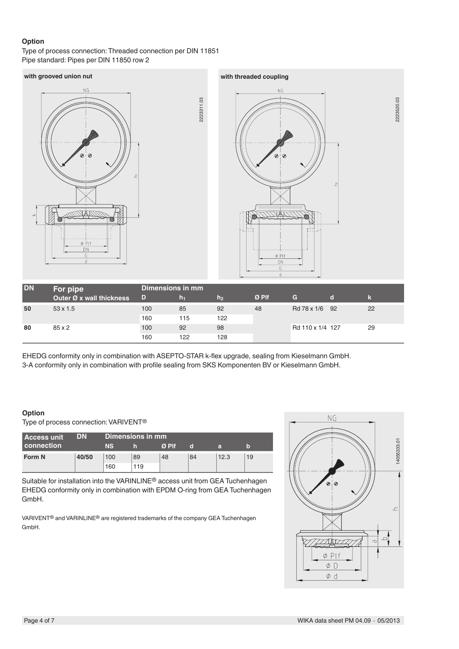## **Option**

Type of process connection: Threaded connection per DIN 11851 Pipe standard: Pipes per DIN 11850 row 2

## **with grooved union nut with threaded coupling**





2223520.03

2223520.03

| <b>DN</b> | For pipe                 | Dimensions in mm |      |           |         |                  |    |
|-----------|--------------------------|------------------|------|-----------|---------|------------------|----|
|           | Outer Ø x wall thickness | ZD.              | In 1 | h2        | $Ø$ Plf | G                |    |
| 50        | $53 \times 1.5$          | 100              | 85   | 92<br>122 | 48      | Rd 78 x 1/6 92   | 22 |
|           |                          | 160              | 115  |           |         |                  |    |
| 80        | $85 \times 2$            | 100              | 92   | 98        |         | Rd 110 x 1/4 127 | 29 |
|           |                          | 160              | 122  | 128       |         |                  |    |

EHEDG conformity only in combination with ASEPTO-STAR k-flex upgrade, sealing from Kieselmann GmbH. 3-A conformity only in combination with profile sealing from SKS Komponenten BV or Kieselmann GmbH.

#### **Option**

Type of process connection: VARIVENT®

| <b>Access unit</b> | DN    |           | Dimensions in mm |              |    |      |    |
|--------------------|-------|-----------|------------------|--------------|----|------|----|
| connection         |       | <b>NS</b> |                  | $\alpha$ PIf | n  | а    | ıп |
| Form N             | 40/50 | 100       | 89               | 48           | 84 | 12.3 | 19 |
|                    |       | 160       | 119              |              |    |      |    |

Suitable for installation into the VARINLINE® access unit from GEA Tuchenhagen EHEDG conformity only in combination with EPDM O-ring from GEA Tuchenhagen GmbH.

VARIVENT® and VARINLINE® are registered trademarks of the company GEA Tuchenhagen GmbH.

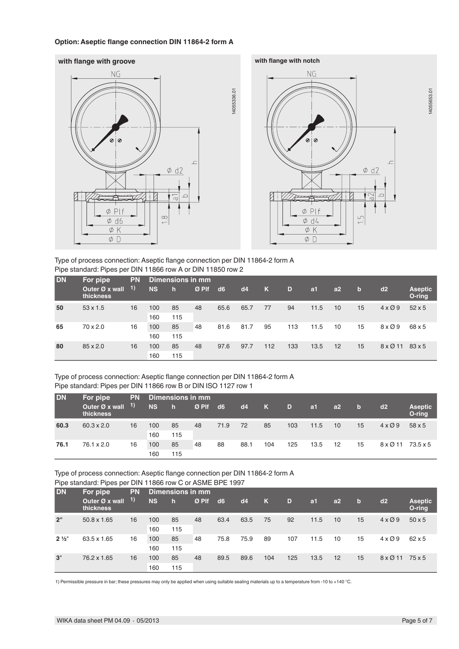#### **Option: Aseptic flange connection DIN 11864-2 form A**







14055653.01

14055653.01

Type of process connection: Aseptic flange connection per DIN 11864-2 form A Pipe standard: Pipes per DIN 11866 row A or DIN 11850 row 2

| <b>DN</b> | For pipe                    | <b>PN</b> |           | <b>Dimensions in mm</b> |       |      |      |     |     |                |    |              |                |                          |
|-----------|-----------------------------|-----------|-----------|-------------------------|-------|------|------|-----|-----|----------------|----|--------------|----------------|--------------------------|
|           | Outer Ø x wall<br>thickness | 1)        | <b>NS</b> | $\mathsf{h}$            | Ø Plf | d6   | d4   | K   | D   | a <sub>1</sub> | a2 | $\mathbf{b}$ | d2             | <b>Aseptic</b><br>O-ring |
| 50        | $53 \times 1.5$             | 16        | 100       | 85                      | 48    | 65.6 | 65.7 | 77  | 94  | 11.5           | 10 | 15           | $4 \times 0.9$ | $52 \times 5$            |
|           |                             |           | 160       | 115                     |       |      |      |     |     |                |    |              |                |                          |
| 65        | $70 \times 2.0$             | 16        | 100       | 85                      | 48    | 81.6 | 81.7 | 95  | 113 | 11.5           | 10 | 15           | $8 \times 0.9$ | 68 x 5                   |
|           |                             |           | 160       | 115                     |       |      |      |     |     |                |    |              |                |                          |
| 80        | $85 \times 2.0$             | 16        | 100       | 85                      | 48    | 97.6 | 97.7 | 112 | 133 | 13.5           | 12 | 15           | $8 \times 011$ | $83 \times 5$            |
|           |                             |           | 160       | 115                     |       |      |      |     |     |                |    |              |                |                          |

14055336.01

14055336.01

Type of process connection: Aseptic flange connection per DIN 11864-2 form A Pipe standard: Pipes per DIN 11866 row B or DIN ISO 1127 row 1

| <b>DN</b>                 | For pipe                    | <b>PN</b>                     |           | Dimensions in mm |         |      |    |             |                |             |      |     |    |                                |  |
|---------------------------|-----------------------------|-------------------------------|-----------|------------------|---------|------|----|-------------|----------------|-------------|------|-----|----|--------------------------------|--|
|                           | Outer Ø x wall<br>thickness | $\vert$ 1)                    | <b>NS</b> | $\mathsf{h}$     | $Ø$ Plf | d6   | d4 | $\mathbf K$ | D              | a1          | a2   | Tb. | d2 | <b>Aseptic</b><br>O-ring       |  |
| 60.3<br>$60.3 \times 2.0$ | 16                          | 85<br>71.9<br>48<br>72<br>100 |           | 85               | 103     | 11.5 | 10 | 15          | $4 \times 0.9$ | $58\times5$ |      |     |    |                                |  |
|                           |                             |                               | 160       | 115              |         |      |    |             |                |             |      |     |    |                                |  |
| 76.1                      | $76.1 \times 2.0$           | 16                            |           | 100              | 85      | 48   | 88 | 88.1        | 104            | 125         | 13.5 | 12  | 15 | $8 \times 011$ 73.5 $\times$ 5 |  |
|                           |                             |                               | 160       | 115              |         |      |    |             |                |             |      |     |    |                                |  |

Type of process connection: Aseptic flange connection per DIN 11864-2 form A Pipe standard: Pipes per DIN 11866 row C or ASME BPE 1997

| <b>DN</b>        | For pipe                    | <b>PN</b> |           | <b>Dimensions in mm</b> |            |      |      |             |      |      |    |               |                |                          |
|------------------|-----------------------------|-----------|-----------|-------------------------|------------|------|------|-------------|------|------|----|---------------|----------------|--------------------------|
|                  | Outer Ø x wall<br>thickness | 1)        | <b>NS</b> | h                       | $Ø$ Plf    | d6   | d4   | $\mathbf k$ | D    | a1   | a2 | b             | d2             | <b>Aseptic</b><br>O-ring |
| 2"               | 50.8 x 1.65                 | 16        | 100       | 85                      | 48         | 63.4 | 63.5 | 75          | 92   | 11.5 | 10 | 15            | $4 \times 0.9$ | $50 \times 5$            |
|                  |                             |           | 160       | 115                     |            |      |      |             |      |      |    |               |                |                          |
| $2\frac{1}{2}$ " | 63.5 x 1.65                 | 16        | 100       | 85                      | 48         | 75.8 | 75.9 | 89          | 107  | 11.5 | 10 | 15            | $4 \times 0.9$ | $62 \times 5$            |
|                  |                             |           | 160       | 115                     |            |      |      |             |      |      |    |               |                |                          |
| 3"               | 76.2 x 1.65                 | 16        | 100       | 85                      | 89.5<br>48 | 89.6 | 104  | 125         | 13.5 | 12   | 15 | $8 \times 11$ | $75 \times 5$  |                          |
|                  |                             |           | 160       | 115                     |            |      |      |             |      |      |    |               |                |                          |

1) Permissible pressure in bar; these pressures may only be applied when using suitable sealing materials up to a temperature from -10 to +140 °C.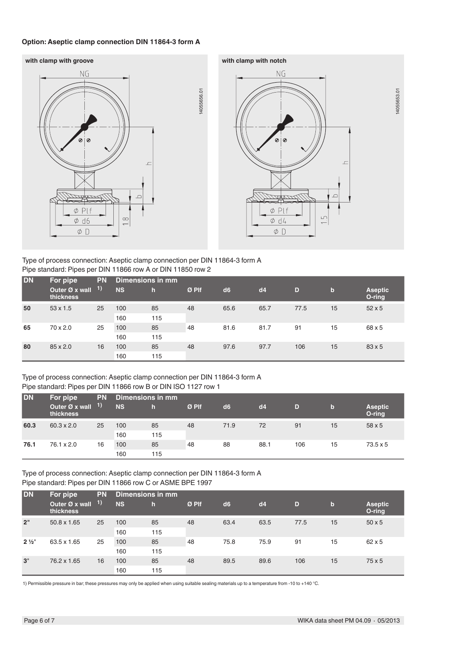#### **Option: Aseptic clamp connection DIN 11864-3 form A**





Type of process connection: Aseptic clamp connection per DIN 11864-3 form A Pipe standard: Pipes per DIN 11866 row A or DIN 11850 row 2

| <b>DN</b> | For pipe                    | <b>PN</b>  | <b>Dimensions in mm</b> |     |       |                |      |      |             |                          |
|-----------|-----------------------------|------------|-------------------------|-----|-------|----------------|------|------|-------------|--------------------------|
|           | Outer Ø x wall<br>thickness | $\vert$ 1) | <b>NS</b>               | h   | Ø Plf | d <sub>6</sub> | dd4  | D    | $\mathbf b$ | <b>Aseptic</b><br>O-ring |
| 50        | $53 \times 1.5$             | 25         | 100                     | 85  | 48    | 65.6           | 65.7 | 77.5 | 15          | $52 \times 5$            |
|           |                             |            | 160                     | 115 |       |                |      |      |             |                          |
| 65        | $70 \times 2.0$             | 25         | 100                     | 85  | 48    | 81.6           | 81.7 | 91   | 15          | 68 x 5                   |
|           |                             |            | 160                     | 115 |       |                |      |      |             |                          |
| 80        | 85 x 2.0                    | 16         | 100                     | 85  | 48    | 97.6           | 97.7 | 106  | 15          | $83 \times 5$            |
|           |                             | 160        | 115                     |     |       |                |      |      |             |                          |

Type of process connection: Aseptic clamp connection per DIN 11864-3 form A Pipe standard: Pipes per DIN 11866 row B or DIN ISO 1127 row 1

| <b>DN</b> | For pipe                    | <b>PN</b>  | Dimensions in mm |     |       |                |      |     |    |                          |
|-----------|-----------------------------|------------|------------------|-----|-------|----------------|------|-----|----|--------------------------|
|           | Outer Ø x wall<br>thickness | $\vert$ 1) | <b>NS</b>        |     | Ø Plf | d <sub>6</sub> | dd   | D   | b  | <b>Aseptic</b><br>O-ring |
| 60.3      | $60.3 \times 2.0$           | 25         | 100              | 85  | 48    | 71.9           | 72   | 91  | 15 | 58 x 5                   |
|           |                             |            | 160              | 115 |       |                |      |     |    |                          |
| 76.1      | $76.1 \times 2.0$           | 16         | 100              | 85  | 48    | 88             | 88.1 | 106 | 15 | $73.5 \times 5$          |
|           |                             |            | 160              | 115 |       |                |      |     |    |                          |

Type of process connection: Aseptic clamp connection per DIN 11864-3 form A Pipe standard: Pipes per DIN 11866 row C or ASME BPE 1997

| DN               | For pipe<br>Outer Ø x wall<br><b>thickness</b> | <b>PN</b><br>1) | Dimensions in mm |     |       |                |      |      |             |                          |
|------------------|------------------------------------------------|-----------------|------------------|-----|-------|----------------|------|------|-------------|--------------------------|
|                  |                                                |                 | <b>NS</b>        | h   | Ø Plf | d <sub>6</sub> | dd4  | D    | $\mathbf b$ | <b>Aseptic</b><br>O-ring |
| 2"               | 50.8 x 1.65                                    | 25              | 100              | 85  | 48    | 63.4           | 63.5 | 77.5 | 15          | $50 \times 5$            |
|                  |                                                |                 | 160              | 115 |       |                |      |      |             |                          |
| $2\frac{1}{2}$ " | 63.5 x 1.65                                    | 25              | 100              | 85  | 48    | 75.8           | 75.9 | 91   | 15          | $62 \times 5$            |
|                  |                                                |                 | 160              | 115 |       |                |      |      |             |                          |
| 3"               | 76.2 x 1.65                                    | 16              | 100              | 85  | 48    | 89.5           | 89.6 | 106  | 15          | 75x5                     |
|                  |                                                |                 | 160              | 115 |       |                |      |      |             |                          |

1) Permissible pressure in bar; these pressures may only be applied when using suitable sealing materials up to a temperature from -10 to +140 °C.